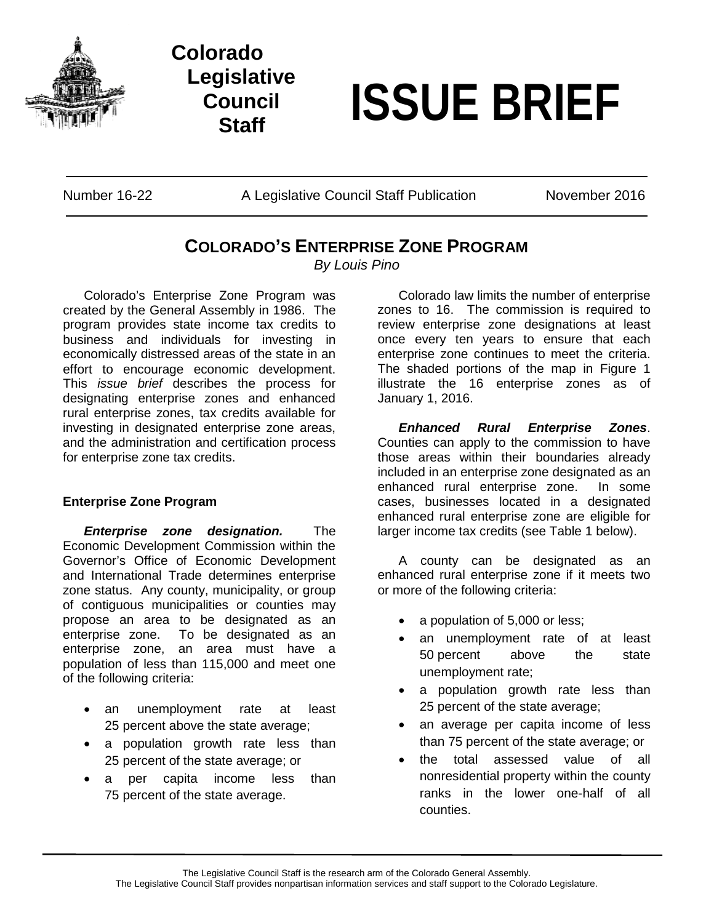

## **Colorado Legislative Council**

# **Staff ISSUE BRIEF**

Number 16-22 **A Legislative Council Staff Publication** November 2016

### **COLORADO'S ENTERPRISE ZONE PROGRAM**

*By Louis Pino*

Colorado's Enterprise Zone Program was created by the General Assembly in 1986. The program provides state income tax credits to business and individuals for investing in economically distressed areas of the state in an effort to encourage economic development. This *issue brief* describes the process for designating enterprise zones and enhanced rural enterprise zones, tax credits available for investing in designated enterprise zone areas, and the administration and certification process for enterprise zone tax credits.

#### **Enterprise Zone Program**

*Enterprise zone designation.* The Economic Development Commission within the Governor's Office of Economic Development and International Trade determines enterprise zone status. Any county, municipality, or group of contiguous municipalities or counties may propose an area to be designated as an enterprise zone. To be designated as an enterprise zone, an area must have a population of less than 115,000 and meet one of the following criteria:

- an unemployment rate at least 25 percent above the state average;
- a population growth rate less than 25 percent of the state average; or
- a per capita income less than 75 percent of the state average.

Colorado law limits the number of enterprise zones to 16. The commission is required to review enterprise zone designations at least once every ten years to ensure that each enterprise zone continues to meet the criteria. The shaded portions of the map in Figure 1 illustrate the 16 enterprise zones as of January 1, 2016.

*Enhanced Rural Enterprise Zones*. Counties can apply to the commission to have those areas within their boundaries already included in an enterprise zone designated as an enhanced rural enterprise zone. In some cases, businesses located in a designated enhanced rural enterprise zone are eligible for larger income tax credits (see Table 1 below).

A county can be designated as an enhanced rural enterprise zone if it meets two or more of the following criteria:

- a population of 5,000 or less;
- an unemployment rate of at least 50 percent above the state unemployment rate;
- a population growth rate less than 25 percent of the state average;
- an average per capita income of less than 75 percent of the state average; or
- the total assessed value of all nonresidential property within the county ranks in the lower one-half of all counties.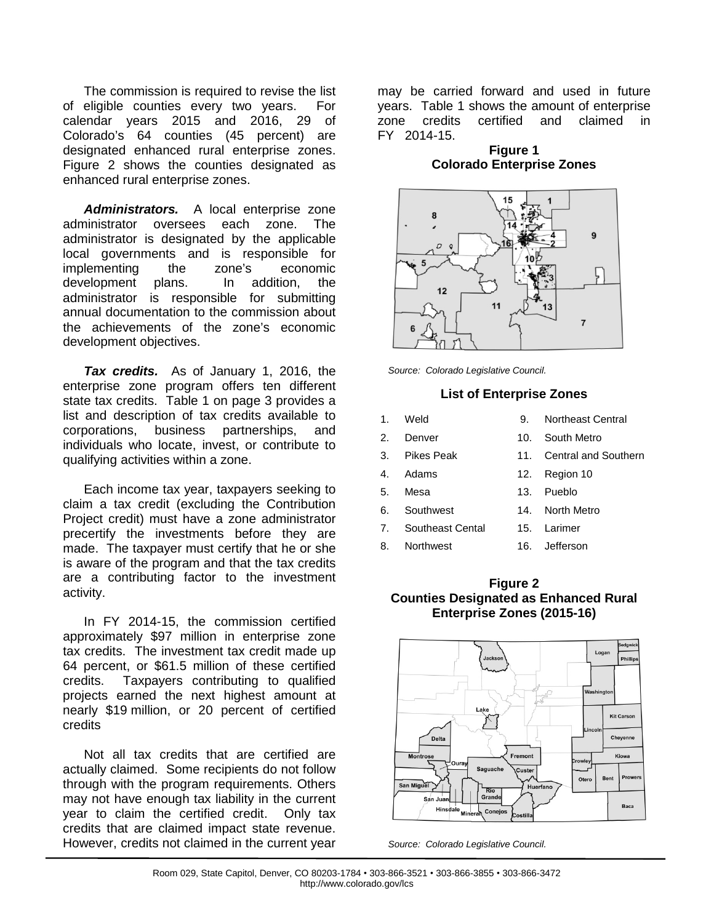The commission is required to revise the list of eligible counties every two years. For calendar years 2015 and 2016, 29 of Colorado's 64 counties (45 percent) are designated enhanced rural enterprise zones. Figure 2 shows the counties designated as enhanced rural enterprise zones.

*Administrators.* A local enterprise zone administrator oversees administrator is designated by the applicable local governments and is responsible for implementing the zone's economic development plans. In addition, the administrator is responsible for submitting annual documentation to the commission about the achievements of the zone's economic development objectives.

*Tax credits.* As of January 1, 2016, the enterprise zone program offers ten different state tax credits. Table 1 on page 3 provides a list and description of tax credits available to corporations, business partnerships, and individuals who locate, invest, or contribute to qualifying activities within a zone.

Each income tax year, taxpayers seeking to claim a tax credit (excluding the Contribution Project credit) must have a zone administrator precertify the investments before they are made. The taxpayer must certify that he or she is aware of the program and that the tax credits are a contributing factor to the investment activity.

In FY 2014-15, the commission certified approximately \$97 million in enterprise zone tax credits. The investment tax credit made up 64 percent, or \$61.5 million of these certified credits. Taxpayers contributing to qualified projects earned the next highest amount at nearly \$19 million, or 20 percent of certified credits

Not all tax credits that are certified are actually claimed. Some recipients do not follow through with the program requirements. Others may not have enough tax liability in the current year to claim the certified credit. Only tax credits that are claimed impact state revenue. However, credits not claimed in the current year

may be carried forward and used in future years. Table 1 shows the amount of enterprise zone credits certified and claimed in FY 2014-15.

#### **Figure 1 Colorado Enterprise Zones**



*Source: Colorado Legislative Council.*

#### **List of Enterprise Zones**

- 1. Weld 9. Northeast Central
- 2. Denver 10. South Metro
- 3. Pikes Peak 11. Central and Southern
- 4. Adams 12. Region 10
- 5. Mesa 13. Pueblo
- 6. Southwest 14. North Metro
- 7. Southeast Cental 15. Larimer
- 8. Northwest 16. Jefferson
	-

#### **Figure 2 Counties Designated as Enhanced Rural Enterprise Zones (2015-16)**



*Source: Colorado Legislative Council.*